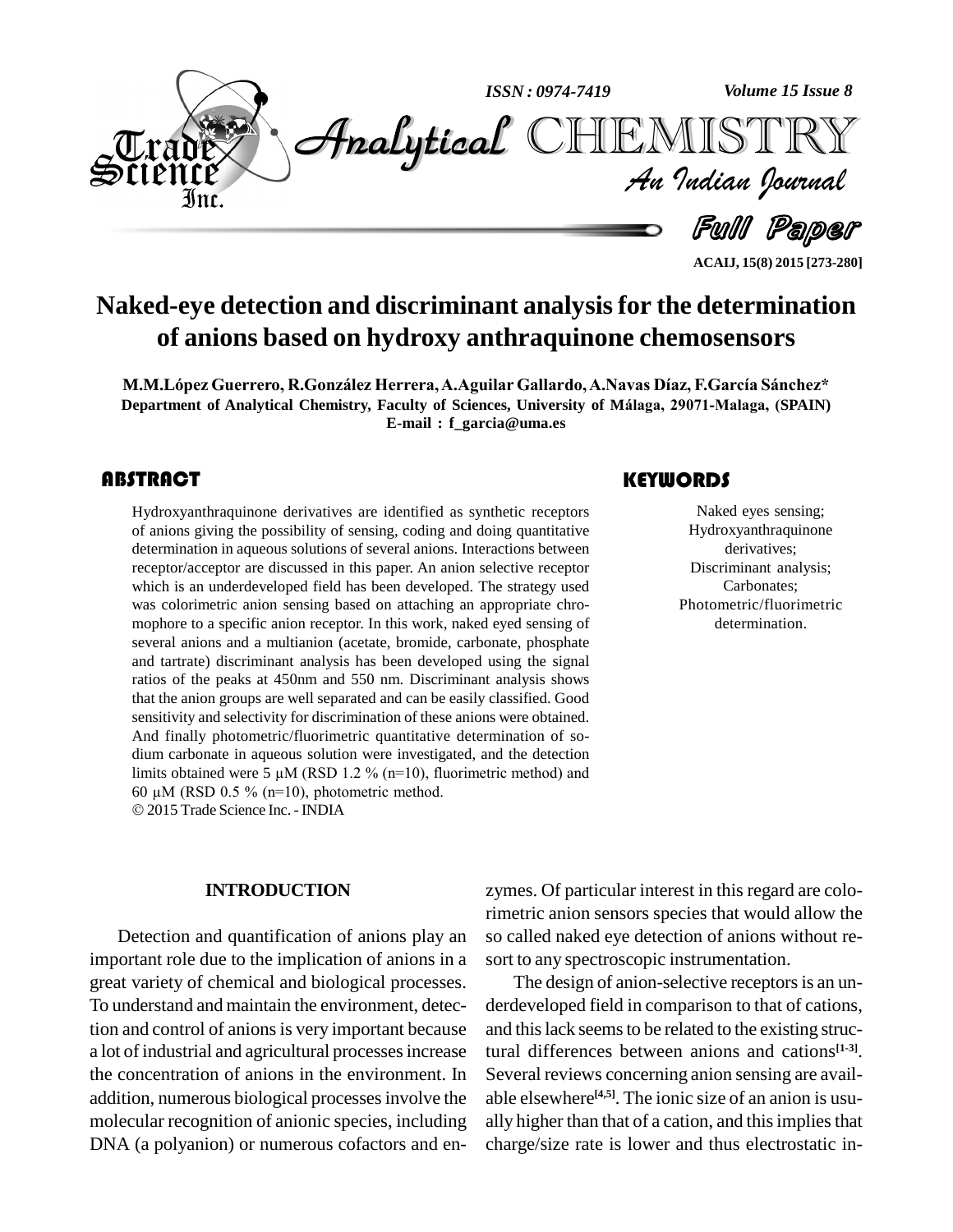

**Naked-eye detection and discriminant analysisfor the determination of anions based on hydroxy anthraquinone chemosensors**

**M.M.LÛpez Guerrero, R.Gonz·lez Herrera,A.Aguilar Gallardo,A.Navas DÌaz, F.GarcÌa S·nchez\* Department of Analytical Chemistry, Faculty ofSciences, University ofM·laga, 29071-Malaga, (SPAIN) E-mail : [f\\_garcia@uma.es](mailto:f_garcia@uma.es)**

## **ABSTRACT**

Hydroxyanthraquinone<br>of anions giving the pos<br>determination in aqueou Hydroxyanthraquinone derivatives are identified as synthetic receptors of anions giving the possibility of sensing, coding and doing quantitative determination in aqueous solutions of several anions. Interactions between receptor/acceptor are discussed in this paper. An anion selective receptor which is an underdeveloped field has been developed. The strategy used was colorimetric anion sensing based on attaching an appropriate chro mophore to a specific anion receptor. In this work, naked eyed sensing of several anions and a multianion (acetate, bromide, carbonate, phosphate and tartrate) discriminant analysis has been developed using the signal ratios of the peaks at 450nm and 550 nm. Discriminant analysis shows that the anion groups are well separated and can be easily classified. Good sensitivity and selectivity for discrimination of these anions were obtained. And finally photometric/fluorimetric quantitative determination of sodium carbonate in aqueous solution were investigated, and the detection And finally photometric/fluorimetric quantitative determination of so-<br>dium carbonate in aqueous solution were investigated, and the detection<br>limits obtained were 5  $\mu$ M (RSD 1.2 % (n=10), fluorimetric method) and dium carbonate in aqueous solution were investigated<br>limits obtained were 5  $\mu$ M (RSD 1.2 % (n=10), fluorir<br>60  $\mu$ M (RSD 0.5 % (n=10), photometric method. 2015 Trade Science Inc. -INDIA

#### **INTRODUCTION**

Detection and quantification of anions play an important role due to the implication of anions in a great variety of chemical and biological processes. To understand and maintain the environment, detection and control of anions is very important because a lotof industrial and agricultural processesincrease the concentration of anions in the environment. In addition, numerous biological processesinvolve the molecular recognition of anionic species, including DNA (a polyanion) or numerous cofactors and en-

# **KEYWORDS**

Naked eyes sen<br>Hydroxyanthraqu<br>derivatives; Naked eyes sensing; Hydroxyanthraquinone derivatives; Discriminant analysis; Carbonates; Photometric/fluorimetric determination.

**ACAIJ, 15(8) 2015 [273-280]**

zymes. Of particular interest in this regard are colorimetric anion sensors species that would allow the so called naked eye detection of anions without re sort to any spectroscopic instrumentation.

The design of anion-selective receptors is an underdeveloped field in comparison to that of cations, and this lack seems to be related to the existing structural differences between anions and cations **[1-3]**. Several reviews concerning anion sensing are avail able elsewhere **[4,5]**. The ionic size of an anion is usu ally higher than that of a cation, and this implies that charge/size rate is lower and thus electrostatic in-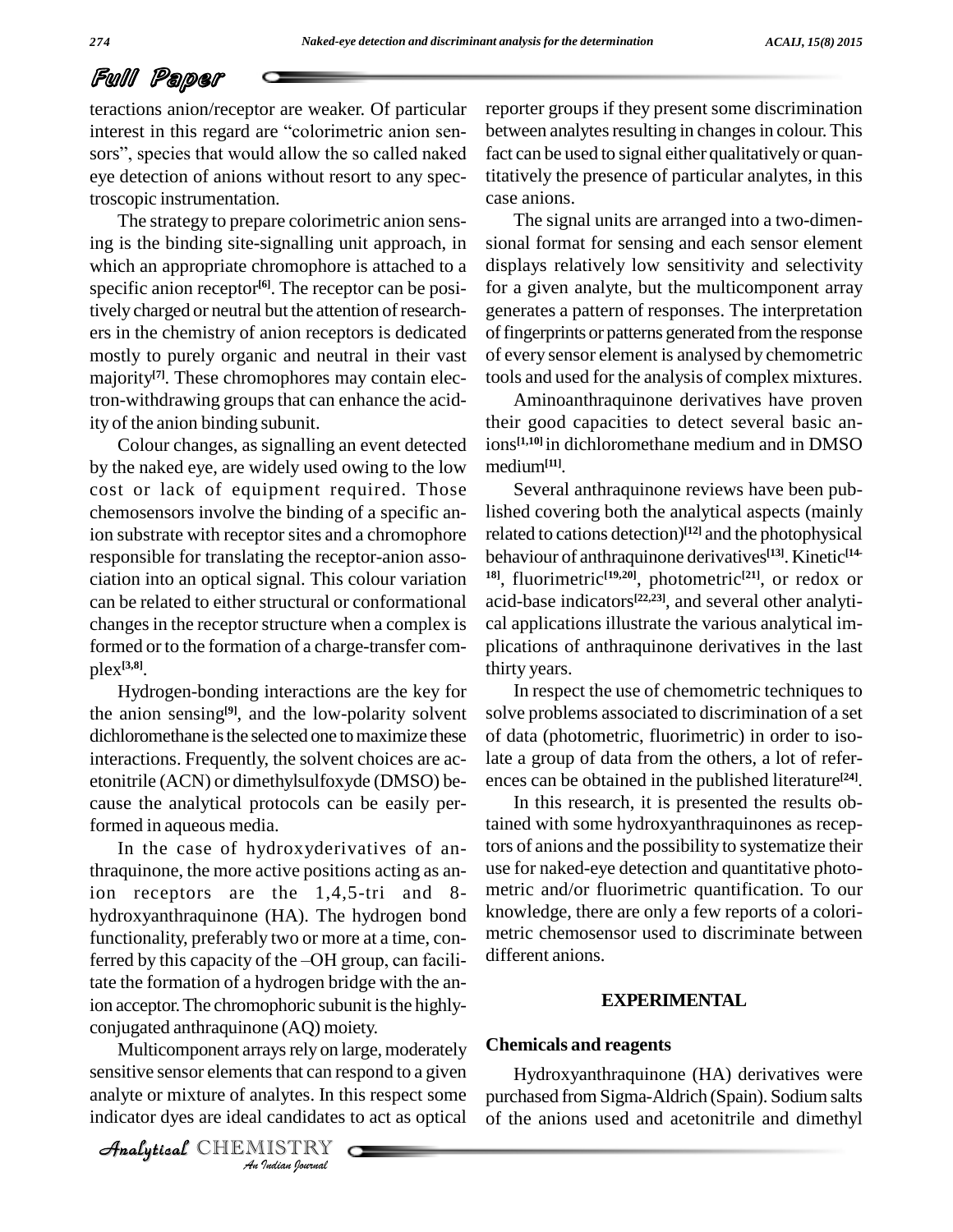# Full Paper

teractions anion/receptor are weaker. Of particular FUIT FEITURE<br>teractions anion/receptor are weaker. Of particular reportinerest in this regard are "colorimetric anion seninterest in this regard are "colorimetric anion sensors", species that would allow the so called naked eye detection of anions without resort to any spectroscopic instrumentation.

The strategy to prepare colorimetric anion sensing is the binding site-signalling unit approach, in which an appropriate chromophore is attached to a specific anion receptor<sup>[6]</sup>. The receptor can be positively charged or neutral but the attention of researchers in the chemistry of anion receptors is dedicated mostly to purely organic and neutral in their vast majority<sup>[7]</sup>. These chromophores may contain elec- to tron-withdrawing groups that can enhance the acidity of the anion binding subunit.

Colour changes, as signalling an event detected by the naked eye, are widely used owing to the low cost or lack of equipment required. Those chemosensors involve the binding of a specific anion substrate with receptor sites and a chromophore responsible for translating the receptor-anion asso ciation into an optical signal. This colour variation can be related to either structural or conformational changes in the receptor structure when a complex is formed or to the formation of a charge-transfer com plex **[3,8]**.

Hydrogen-bonding interactions are the key for the anion sensing<sup>[9]</sup>, and the low-polarity solvent sol dichloromethane is the selected one to maximize these interactions. Frequently, the solvent choices are ac etonitrile (ACN) or dimethylsulfoxyde (DMSO) be cause the analytical protocols can be easily performed in aqueous media.

*An*conjugated anthraquinone (AQ) moiety. In the case of hydroxyderivatives of anthraquinone, the more active positions acting as anion receptors are the 1,4,5-tri and 8 hydroxyanthraquinone (HA). The hydrogen bond knowled functionality, preferably two or more at a time, con-<br>ferred by this capacity of the –OH group, can facili-<br>differed functionality, preferably two or more at a time, contate the formation of a hydrogen bridge with the anion acceptor. The chromophoric subunit is the highly-

*Indian*<br>*Indian Indian*<br>*Indian*<br>*IISTRY*<br>*IISTRY* Multicomponent arrays rely on large, moderately **Chemi** sensitive sensor elements that can respond to a given analyte or mixture of analytes. In this respect some indicator dyes are ideal candidates to act as optical

CHEMISTRY COMPANY

reporter groups if they present some discrimination between analytes resulting in changes in colour. This fact can be used to signal either qualitatively or quantitatively the presence of particular analytes, in this case anions.

The signal units are arranged into a two-dimen sional format for sensing and each sensor element displays relatively low sensitivity and selectivity for a given analyte, but the multicomponent array generates a pattern of responses. The interpretation of fingerprints or patterns generated from the response of every sensor element is analysed by chemometric tools and used for the analysis of complex mixtures.

Aminoanthraquinone derivatives have proven their good capacities to detect several basic anions **[1,10]** in dichloromethane medium and in DMSO medium**[11]**.

Several anthraquinone reviews have been published covering both the analytical aspects (mainly related to cations detection) **[12]** and the photophysical behaviour of anthraquinone derivatives **[13]**. Kinetic **[14- 18]**, fluorimetric **[19,20]**, photometric **[21]**, or redox or acid-base indicators **[22,23]**, and several other analyti cal applications illustrate the various analytical im plications of anthraquinone derivatives in the last thirty years.

In respect the use of chemometric techniques to solve problems associated to discrimination of a set of data (photometric, fluorimetric) in order to isolate a group of data from the others, a lot of refer ences can be obtained in the published literature **[24]**.

In this research, it is presented the results obtained with some hydroxyanthraquinones as receptors of anions and the possibility to systematize their use for naked-eye detection and quantitative photo metric and/or fluorimetric quantification. To our knowledge, there are only a few reports of a colori metric chemosensor used to discriminate between different anions.

#### **EXPERIMENTAL**

#### **Chemicals and reagents**

Hydroxyanthraquinone (HA) derivatives were purchased from Sigma-Aldrich (Spain). Sodium salts of the anions used and acetonitrile and dimethyl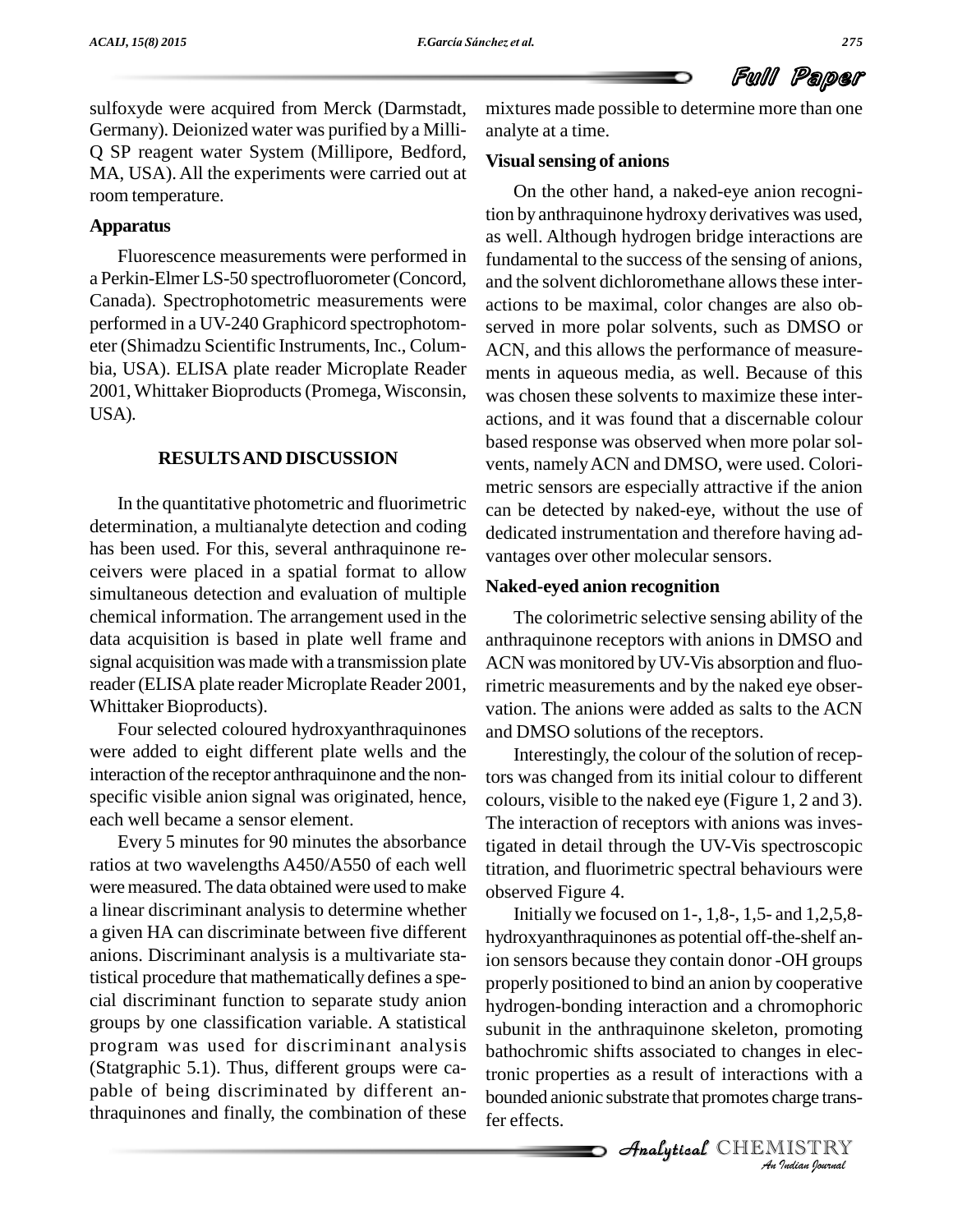sulfoxyde were acquired from Merck (Darmstadt, Germany). Deionized water was purified by a Milli- Q SP reagent water System (Millipore, Bedford, MA, USA). All the experiments were carried out at room temperature.

### **Apparatus**

Fluorescence measurements were performed in a Perkin-Elmer LS-50 spectrofluorometer (Concord, Canada). Spectrophotometric measurements were performed in a UV-240 Graphicord spectrophotom eter (Shimadzu Scientific Instruments, Inc., Colum bia, USA). ELISA plate reader Microplate Reader 2001, Whittaker Bioproducts(Promega, Wisconsin, USA).

#### **RESULTSAND DISCUSSION**

In the quantitative photometric and fluorimetric determination, a multianalyte detection and coding has been used. For this, several anthraquinone re ceivers were placed in a spatial format to allow simultaneous detection and evaluation of multiple chemical information. The arrangement used in the data acquisition is based in plate well frame and signal acquisition was made with a transmission plate reader (ELISA plate reader Microplate Reader 2001, Whittaker Bioproducts).

Four selected coloured hydroxyanthraquinones were added to eight different plate wells and the interaction of the receptor anthraquinone and the nonspecific visible anion signal was originated, hence, each well became a sensor element.

Every 5 minutes for 90 minutes the absorbance ratios at two wavelengths A450/A550 of each well were measured. The data obtained were used to make a linear discriminant analysis to determine whether a given HA candiscriminate between five different anions. Discriminant analysis is a multivariate statistical procedure that mathematically defines a spe cial discriminant function to separate study anion groups by one classification variable. A statistical program was used for discriminant analysis (Statgraphic 5.1). Thus, different groups were ca pable of being discriminated by different anthraquinones and finally, the combination of these

mixtures made possible to determine more than one analyte at a time.

### **Visualsensing of anions**

On the other hand, a naked-eye anion recognition by anthraquinone hydroxy derivatives was used, as well. Although hydrogen bridge interactions are fundamental to the success of the sensing of anions, and the solvent dichloromethane allows these interactions to be maximal, color changes are also ob served in more polar solvents, such as DMSO or ACN, and this allows the performance of measure ments in aqueous media, as well. Because of this was chosen these solvents to maximize these inter actions, and it was found that a discernable colour based response was observed when more polar sol vents, namely ACN and DMSO, were used. Colorimetric sensors are especially attractive if the anion can be detected by naked-eye, without the use of dedicated instrumentation and therefore having ad vantages over other molecular sensors.

#### **Naked-eyed anion recognition**

The colorimetric selective sensing ability of the anthraquinone receptors with anions in DMSO and ACN was monitored byUV-Vis absorption and fluorimetric measurements and by the naked eye obser vation. The anions were added as salts to the ACN and DMSO solutions of the receptors.

Interestingly, the colour of the solution of receptors was changed from its initial colour to different colours, visible to the naked eye (Figure 1, 2 and 3). The interaction of receptors with anions was investigated in detail through the UV-Vis spectroscopic titration, and fluorimetric spectral behaviours were observed Figure 4.

subunit in the anthraquinone skeleton, promoting *Indian*<br>*Indian Indian*<br>*IISTRY*<br>*Indian hournal* bathochromic shifts associated to changes in elec-Initially we focused on 1-, 1,8-, 1,5- and 1,2,5,8 hydroxyanthraquinones as potential off-the-shelf anion sensors because they contain donor -OH groups properly positioned to bind an anion by cooperative hydrogen-bonding interaction and a chromophoric tronic properties as a result of interactions with a bounded anionic substrate that promotes charge transfer effects.

**Analytical** CHEMISTRY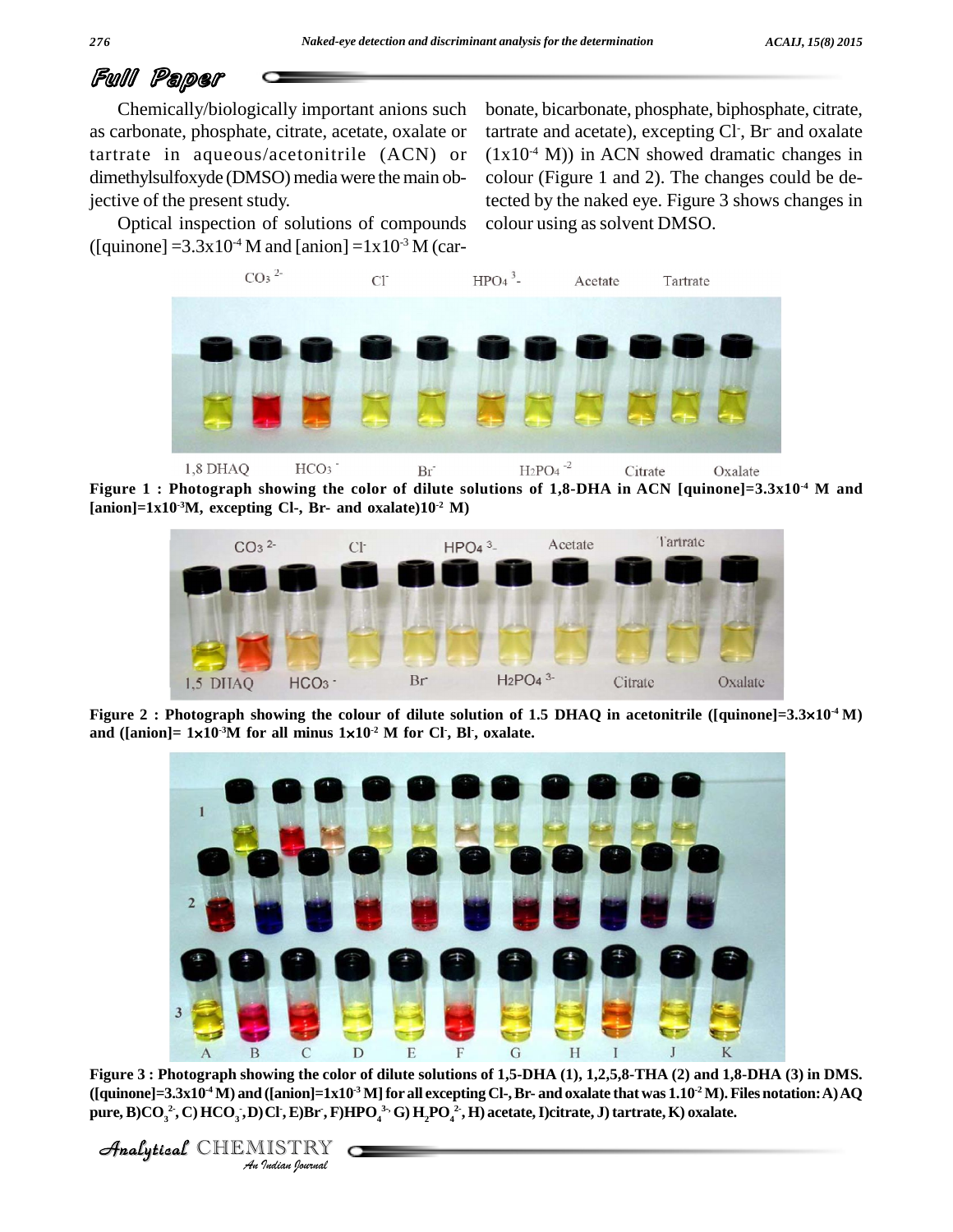# Full Paper

Chemically/biologically important anions such as carbonate, phosphate, citrate, acetate, oxalate or tartrate in aqueous/acetonitrile (ACN) or dimethylsulfoxyde (DMSO) media were the main objective of the present study.

bonate, bicarbonate, phosphate, biphosphate, citrate, tartrate and acetate), excepting Cl<sup>-</sup>, Br and oxalate  $(1x10<sup>4</sup> M)$  in ACN showed dramatic changes in colour (Figure 1 and 2). The changes could be detected by the naked eye.Figure 3 shows changes in colour using as solvent DMSO.

Optical inspection of solutions of compounds ([quinone] =3.3x10<sup>-4</sup> M and [anion] =1x10<sup>-3</sup> M (car-



**Figure 1 : Photograph showing the color of dilute solutions of 1,8-DHA inACN [quinone]=3.3x10 -4 M and**  $\textbf{[anion]} = 1 \text{x} 10^{-3} \text{M}$ , excepting Cl-, Br- and  $\text{o} \text{x} \text{a} \text{late} (10^{-2} \text{M})$ 



**figure 2 : Photograph showing the colour of dilu<br>
and ([anion]= 1×10<sup>-3</sup>M for all minus 1×10<sup>-2</sup> M for -2 M for Cl -, Bl -, oxalate.**



*C*<br> **Indian I** and **I** and **I** and **I** and **I** and **I** and *I* and *I* and *I* and *I* and *I* and *I* and *I* and *I* and *I* and *I* and *I* and *I* and *I* and *I* and *I* and *I* and *I* and *I* and *I* and *I* and Figure 3 : Photograph showing the color of dilute solutions of 1,5-DHA (1), 1,2,5,8-THA (2) and 1,8-DHA (3) in DMS. ([quinone]=3.3x10<sup>-4</sup> M) and ([anion]=1x10<sup>-3</sup> M] for all excepting Cl-, Br- and oxalate that was 1.10<sup>-2</sup> M). Files notation: A) AQ pure, B)CO<sub>3</sub><sup>2</sup>, C) HCO<sub>3</sub>, D)Cl<sup>+</sup>, E)Br<sup>+</sup>, F)HPO<sub>4</sub><sup>3,</sup> G) H<sub>2</sub>PO<sub>4</sub><sup>2</sup>, H) acetate, I)citrate, J) tartrate, K) oxalate.

CHEMISTRY COMPANY

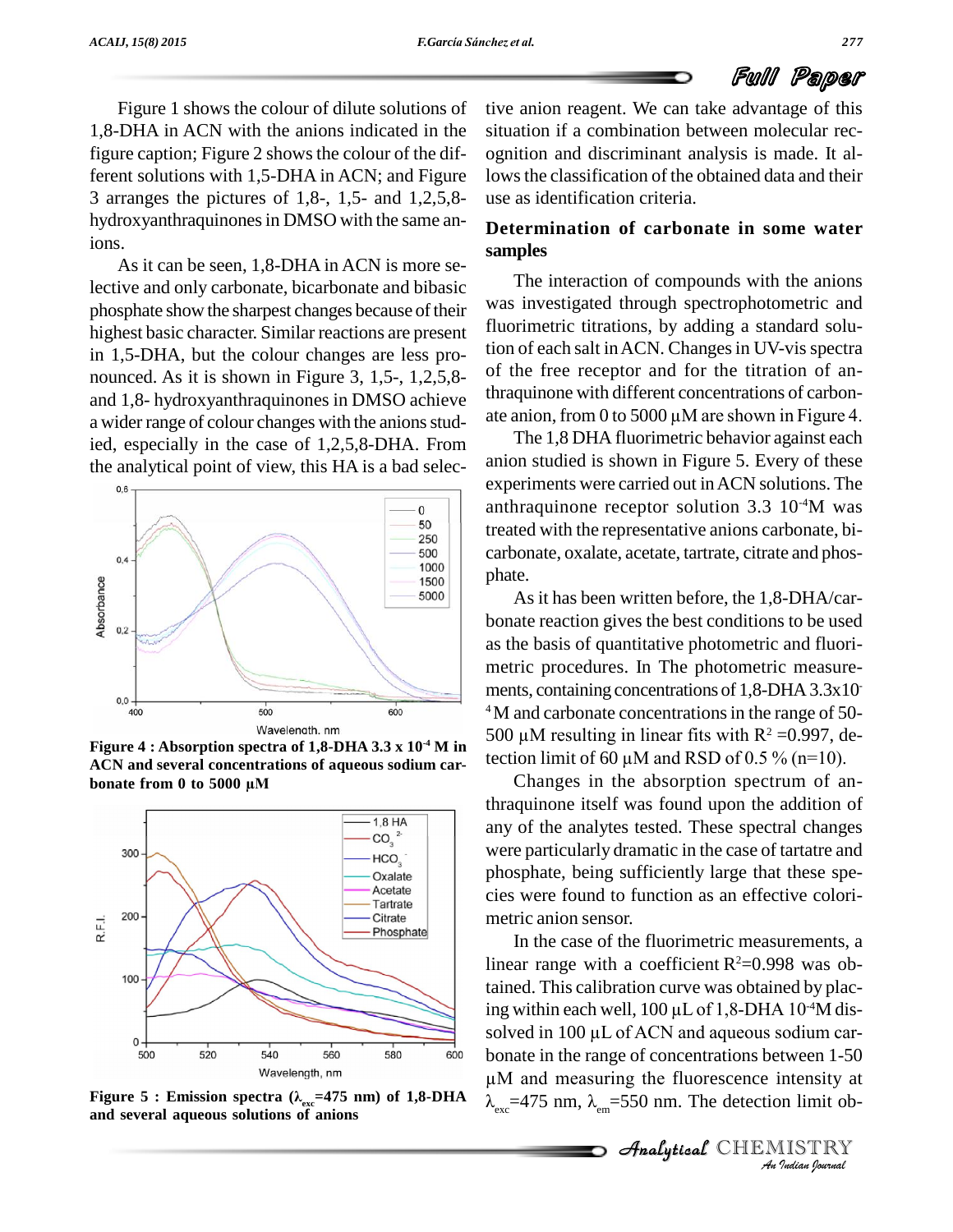Figure 1 shows the colour of dilute solutions of 1,8-DHA in ACN with the anions indicated in the figure caption; Figure 2 shows the colour of the different solutions with 1,5-DHA in ACN; and Figure 3 arranges the pictures of 1,8-, 1,5- and 1,2,5,8 hydroxyanthraquinones in DMSO with the same anions.<br>As it can be seen, 1,8-DHA in ACN is more se-

lective and only carbonate, bicarbonate and bibasic phosphate show the sharpest changes because of their highest basic character. Similar reactions are present in 1,5-DHA, but the colour changes are less pro nounced. As it is shown in Figure 3, 1,5-, 1,2,5,8 and 1,8- hydroxyanthraquinones in DMSO achieve  $\frac{\text{trraquinone with different concentrations of carbon-}}{\text{ateanon, from 0 to 5000 }\mu\text{M} \text{ are shown in Figure 4.}}$ a wider range of colour changes with the anions studied, especially in the case of 1,2,5,8-DHA. From the analytical point of view, this HA is a bad selec-



**Figure** 4 : Absorption spectra of 1,8-DHA 3.3 x  $10^{-4}$  M in **ACN and several concentrations of aqueous sodium car figure 4 : Absorption spectra of 1,8-DHA 3<br>ACN and several concentrations of aqueou<br>bonate from 0 to 5000 µM** 



**and several aqueous solutions of anions**

tive anion reagent. We can take advantage of this situation if a combination between molecular rec ognition and discriminant analysis is made. It allows the classification of the obtained data and their use as identification criteria.

## **Determination of carbonate in some water samples**

The interaction of compounds with the anions was investigated through spectrophotometric and fluorimetric titrations, by adding a standard solution of each salt in ACN. Changes in UV-vis spectra of the free receptor and for the titration of anthraquinone with different concentrations of carbon of the free receptor and for the titration of an-<br>thraquinone with different concentrations of carbon-<br>ate anion, from 0 to 5000  $\mu$ M are shown in Figure 4.

The 1,8 DHA fluorimetric behavior against each anion studied is shown in Figure 5. Every of these experiments were carried out inACN solutions. The anthraquinone receptor solution  $3.3 \, 10^{4}$ M was treated with the representative anions carbonate, bi carbonate, oxalate, acetate, tartrate, citrate and phos phate.

As it has been written before, the 1,8-DHA/car bonate reaction gives the best conditions to be used as the basis of quantitative photometric and fluori metric procedures. In The photometric measure ments, containing concentrations of 1,8-DHA 3.3x10 <sup>4</sup>M and carbonate concentrations in the range of 50ments, containing concentrations of 1,8-DHA 3.3x10<sup>4</sup>M and carbonate concentrations in the range of 50-<br>500  $\mu$ M resulting in linear fits with R<sup>2</sup> =0.997, de-<sup>4</sup>M and carbonate concentrations in the range of 50-<br>500  $\mu$ M resulting in linear fits with R<sup>2</sup> =0.997, de-<br>tection limit of 60  $\mu$ M and RSD of 0.5 % (n=10).

Changes in the absorption spectrum of anthraquinone itself was found upon the addition of any of the analytes tested. These spectral changes were particularly dramatic in the case of tartatre and phosphate, being sufficiently large that these spe cies were found to function as an effective colori metric anion sensor.

solved in 100 µL of ACN and aqueous *I*<br>*I*<br>*Intensity at*<br>*IISTRY*<br>*IISTRY*<br>*Indian Iournal* Solved in TOO  $\mu$ D of ACTN and aqueous soutum cat-<br>bonate in the range of concentrations between 1-50 In the case of the fluorimetric measurements, a linear range with a coefficient R<sup>2</sup>=0.998 was obtained. This calibration curve was obtained by placing within each well, 100  $\mu$ L of 1,8-DHA 10<sup>-4</sup>M distained. This calibration curve was obtained by plac- $-4M$  distained. This calibration curve was obtained by placing within each well,  $100 \,\mu\mathrm{L}$  of  $1,8$ -DHA  $10^{4}\mathrm{M}$  dissolved in  $100 \,\mu\mathrm{L}$  of ACN and aqueous sodium cared in  $100 \mu L$  of ACN and aqueous sodium car-<br>te in the range of concentrations between  $1-50$ <br>and measuring the fluorescence intensity at Îonate in the range of concentrations between 1-50<br>M and measuring the fluorescence intensity at<br> $\epsilon_{\text{exc}}$ =475 nm,  $\lambda_{\text{em}}$ =550 nm. The detection limit ob-**Figure** 5: **Emission spectra**  $(\lambda_{\text{av}}=475 \text{ nm})$  of 1,8-DHA<br> **Figure** 5: **Emission spectra**  $(\lambda_{\text{av}}=475 \text{ nm})$  of 1,8-DHA<br> **Figure** 5: **Emission spectra**  $(\lambda_{\text{av}}=475 \text{ nm})$  of 1,8-DHA<br> **A**  $=475 \text{ nm}$   $\lambda = 550 \text{ nm}$  T

**Analytical** CHEMISTRY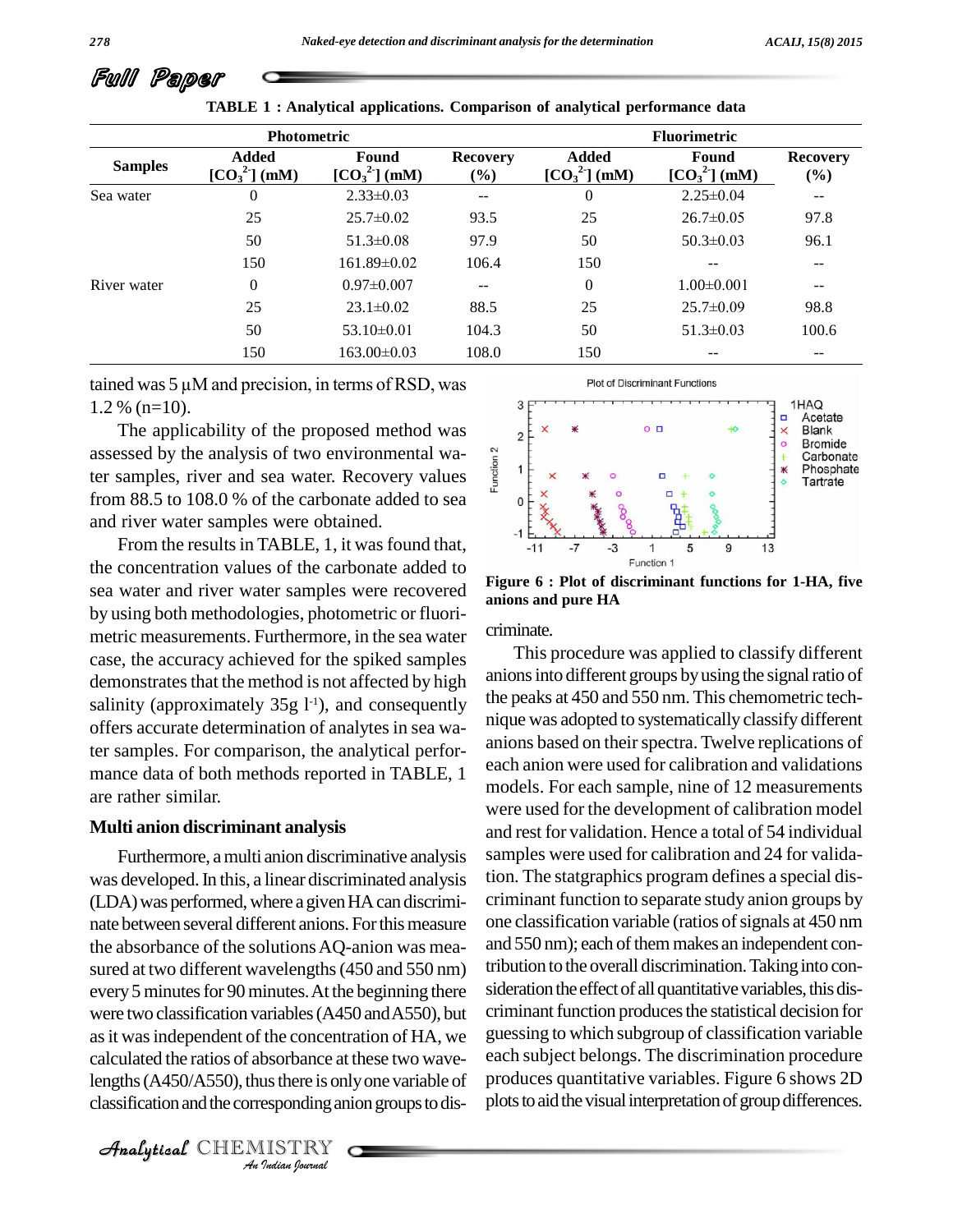| <b>Photometric</b> |                               |                                            |                        | <b>Fluorimetric</b>           |                        |                          |
|--------------------|-------------------------------|--------------------------------------------|------------------------|-------------------------------|------------------------|--------------------------|
| <b>Samples</b>     | <b>Added</b><br>$[CO32]$ (mM) | Found<br>$\left[\text{CO}_3^2\right]$ (mM) | <b>Recovery</b><br>(%) | <b>Added</b><br>$[CO32]$ (mM) | Found<br>$[CO32]$ (mM) | <b>Recovery</b><br>(%)   |
| Sea water          | $\theta$                      | $2.33 \pm 0.03$                            | $\qquad \qquad -$      | $\mathbf{0}$                  | $2.25 \pm 0.04$        | $\overline{\phantom{m}}$ |
|                    | 25                            | $25.7 \pm 0.02$                            | 93.5                   | 25                            | $26.7 \pm 0.05$        | 97.8                     |
|                    | 50                            | $51.3 \pm 0.08$                            | 97.9                   | 50                            | $50.3 \pm 0.03$        | 96.1                     |
|                    | 150                           | $161.89\pm0.02$                            | 106.4                  | 150                           | $- -$                  | $- -$                    |
| River water        | $\theta$                      | $0.97 \pm 0.007$                           | --                     | $\overline{0}$                | $1.00 \pm 0.001$       | --                       |
|                    | 25                            | $23.1 \pm 0.02$                            | 88.5                   | 25                            | $25.7 \pm 0.09$        | 98.8                     |
|                    | 50                            | $53.10\pm0.01$                             | 104.3                  | 50                            | $51.3 \pm 0.03$        | 100.6                    |
|                    | 150                           | $163.00\pm0.03$                            | 108.0                  | 150                           | --                     | --                       |

**TABLE 1 : Analytical applications. Comparison of analytical performance data**

tained was  $5 \mu$ M and precision, in terms of RSD, was 1.2 % (n=10).

The applicability of the proposed method was assessed by the analysis of two environmental waassessed by the analysis of two environmental wa-<br>ter samples, river and sea water. Recovery values from 88.5 to 108.0 % of the carbonate added to sea  $\overline{\phantom{a}}$  o and river water samples were obtained.

From the results in TABLE, 1, it was found that, the concentration values of the carbonate added to sea water and river water samples were recovered by using both methodologies, photometric or fluori metric measurements. Furthermore, in the sea water case, the accuracy achieved for the spiked samples demonstrates that the method is not affected by high salinity (approximately  $35g 1<sup>-1</sup>$ ), and consequently  $\frac{1}{2}$  left offers accurate determination of analytes in sea water samples. For comparison, the analytical perfor mance data of both methods reported in TABLE, 1 are rather similar.

#### **Multi anion discriminant analysis**

as it was independent of the concentration of HA, we guess *I* the concentr<br>bsorbance at<br>us there is onl<br>esponding an<br>*I*ISTRY Furthermore, amulti anion discriminative analysis was developed. In this, a linear discriminated analysis (LDA) was performed, where a given HA can discriminate between several different anions. For this measure the absorbance of the solutionsAQ-anion was mea sured at two different wavelengths (450 and 550 nm) every 5 minutes for 90 minutes. At the beginning there were two classification variables(A450 andA550), but calculated the ratios of absorbance at these two wavelengths  $(A450/A550)$ , thus there is only one variable of classification and the corresponding anion groups to dis-

 $\mathcal{A}$ nalytical  $\mathbb{CHEMISTRY}$ 



**Figure 6 : Plot of discriminant functions for 1-HA, five anions and pure HA**

criminate.

This procedure was applied to classify different anions into different groups by using the signal ratio of the peaks at 450 and 550 nm. This chemometric tech nique was adopted to systematically classify different anions based on their spectra. Twelve replications of each anion were used for calibration and validations models. For each sample, nine of 12 measurements were used for the development of calibration model and rest for validation. Hence a total of 54 individual samples were used for calibration and 24 for validation. The statgraphics program defines a special dis criminant function to separate study anion groups by one classification variable (ratios of signals at 450 nm and 550 nm); each of them makes an independent contribution to the overall discrimination.Takinginto con sideration the effect of all quantitative variables, this discriminant function produces the statistical decision for guessing to which subgroup of classification variable each subject belongs. The discrimination procedure produces quantitative variables. Figure 6 shows 2D plots to aid the visual interpretation of group differences.

Full Paper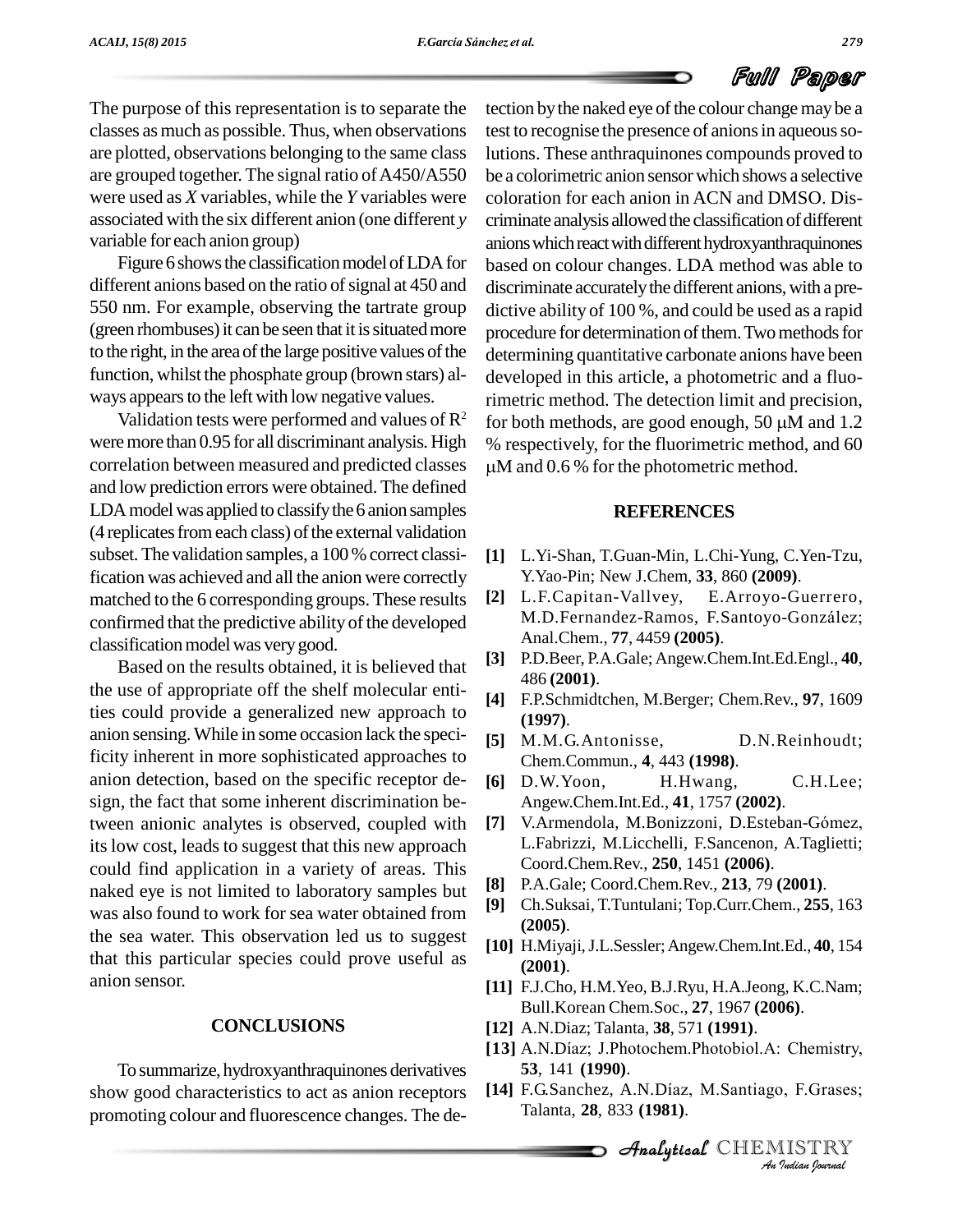The purpose of this representation is to separate the classes asmuch as possible. Thus, when observations are plotted, observations belonging to the same class are grouped together. The signal ratio of A450/A550 were used as *X* variables, while the *Y* variables were associated with the six different anion (one different *y* variable for each anion group)

Figure 6 shows the classification model of LDA for different anions based on the ratio of signal at 450 and 550 nm. For example, observing the tartrate group (green rhombuses) it can be seen that it is situated more to the right, in the area of the large positive values of the function, whilst the phosphate group (brown stars) al ways appears to the left with low negative values.

Validation tests were performed and values of  $\mathbb{R}^2$ were more than 0.95 for all discriminant analysis. High correlation between measured and predicted classes and low prediction errors were obtained. The defined LDA model was applied to classify the 6 anion samples (4 replicates from each class) of the external validation subset.The validation samples, a 100% correct classification was achieved and all the anion were correctly matched to the 6 corresponding groups.These results confirmed that the predictive ability of the developed classification model was very good.

Based on the results obtained, it is believed that the use of appropriate off the shelf molecular entities could provide a generalized new approach to anion sensing.While in some occasion lack the specificity inherent in more sophisticated approaches to anion detection, based on the specific receptor de sign, the fact that some inherent discrimination between anionic analytes is observed, coupled with its low cost, leads to suggest that this new approach could find application in a variety of areas. This naked eye is not limited to laboratory samples but was also found to work for sea water obtained from the sea water. This observation led us to suggest that this particular species could prove useful as anion sensor.

#### **CONCLUSIONS**

To summarize,hydroxyanthraquinones derivatives show good characteristics to act as anion receptors [14] F.G.Sanchez, A.N.Díaz, M.Santiago, F.Grases; promoting colour and fluorescence changes. The de-

tection by the naked eye of the colour change may be a test to recognise the presence of anions in aqueous solutions. These anthraquinones compounds proved to be a colorimetric anion sensorwhich shows a selective coloration for each anion in ACN and DMSO. Dis criminate analysis allowed the classification of different anions which react with different hydroxyanthraquinones based on colour changes. LDA method was able to discriminate accurately the different anions, with a predictive ability of 100 %, and could be used as a rapid procedure for determination of them. Two methods for determining quantitative carbonate anions have been developed in this article, a photometric and a fluo-<br>rimetric method. The detection limit and precision,<br>for both methods, are good enough, 50  $\mu$ M and 1.2 rimetric method. The detection limit and precision, % respectively, for the fluorimetric method, and 60 for both methods, are good enough, 50  $\mu$ M and 1.2 M and 0.6 % for the photometric method.

#### **REFERENCES**

- **[1]** L.Yi-Shan, T.Guan-Min, L.Chi-Yung, C.Yen-Tzu, Y.Yao-Pin; New J.Chem, **33**, 860 **(2009)**.
- **[2]** L.F.Capitan-Vallvey, E.Arroyo-Guerrero, M.D.Fernandez-Ramos, F.Santoyo-González; Anal.Chem., **77**, 4459 **(2005)**.
- **[3]** P.D.Beer, P.A.Gale; Angew.Chem.Int.Ed.Engl., **40**, 486 **(2001)**.
- **[4]** F.P.Schmidtchen, M.Berger; Chem.Rev., **97**, 1609 **(1997)**.
- **[5]** M.M.G.Antonisse, D.N.Reinhoudt; Chem.Commun., **4**, 443 **(1998)**.
- **[6]** D.W.Yoon, H.Hwang, C.H.Lee; Angew.Chem.Int.Ed., **41**, 1757 **(2002)**.
- [7] V.Armendola, M.Bonizzoni, D.Esteban-Gómez, L.Fabrizzi, M.Licchelli, F.Sancenon, A.Taglietti; Coord.Chem.Rev., **250**, 1451 **(2006)**.
- **[8]** P.A.Gale; Coord.Chem.Rev., **213**, 79 **(2001)**.
- **[9]** Ch.Suksai, T.Tuntulani; Top.Curr.Chem., **255**, 163 **(2005)**.
- **[10]** H.Miyaji,J.L.Sessler;Angew.Chem.Int.Ed., **40**, 154 **(2001)**.
- Bull.Korean Chem.Soc., **27**, 1967 (**2006**).<br>[**12**] A.N.Diaz; Talanta, **38**, 571 (**1991**).<br>[**13**] A.N.Díaz; J.Photochem.Photobiol.A: Chemistry, **[11]** F.J.Cho, H.M.Yeo, B.J.Ryu, H.A.Jeong, K.C.Nam; Bull.Korean Chem.Soc., **27**, 1967 **(2006)**.
- **[12]** A.N.Diaz; Talanta, **38**, 571 **(1991)**.
- **53**, 141 **(1990)**. [13] A.N.Díaz; J.Photochem.Photobiol.A: Chemistry,<br>53, 141 (1990).<br>[14] F.G.Sanchez, A.N.Díaz, M.Santiago, F.Grases;
- *Chemistry,*<br>*I*, F.Grases;<br>IISTRY<br>*Indian Iournal* Talanta, **28**, 833 **(1981)**.

CHEMISTRY